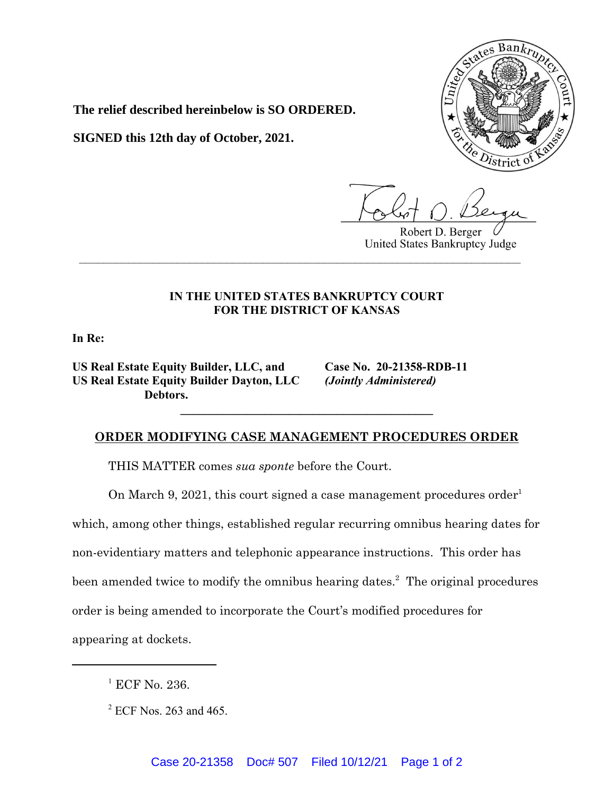

**The relief described hereinbelow is SO ORDERED.**

**SIGNED this 12th day of October, 2021.**

Robert D. Berger United States Bankruptcy Judge

## **IN THE UNITED STATES BANKRUPTCY COURT FOR THE DISTRICT OF KANSAS**

**\_\_\_\_\_\_\_\_\_\_\_\_\_\_\_\_\_\_\_\_\_\_\_\_\_\_\_\_\_\_\_\_\_\_\_\_\_\_\_\_\_\_\_\_\_\_\_\_\_\_\_\_\_\_\_\_\_\_\_\_\_\_\_\_\_\_\_\_\_\_\_\_**

**In Re:**

**US Real Estate Equity Builder, LLC, and Case No. 20-21358-RDB-11 US Real Estate Equity Builder Dayton, LLC** *(Jointly Administered)* **Debtors.**

## **ORDER MODIFYING CASE MANAGEMENT PROCEDURES ORDER**

**\_\_\_\_\_\_\_\_\_\_\_\_\_\_\_\_\_\_\_\_\_\_\_\_\_\_\_\_\_\_\_\_\_\_\_\_\_\_\_\_\_\_**

THIS MATTER comes *sua sponte* before the Court.

On March 9, 2021, this court signed a case management procedures order<sup>1</sup>

which, among other things, established regular recurring omnibus hearing dates for

non-evidentiary matters and telephonic appearance instructions. This order has

been amended twice to modify the omnibus hearing dates.<sup>2</sup> The original procedures

order is being amended to incorporate the Court's modified procedures for

appearing at dockets.

<sup>1</sup> ECF No. 236.

 $2$  ECF Nos. 263 and 465.